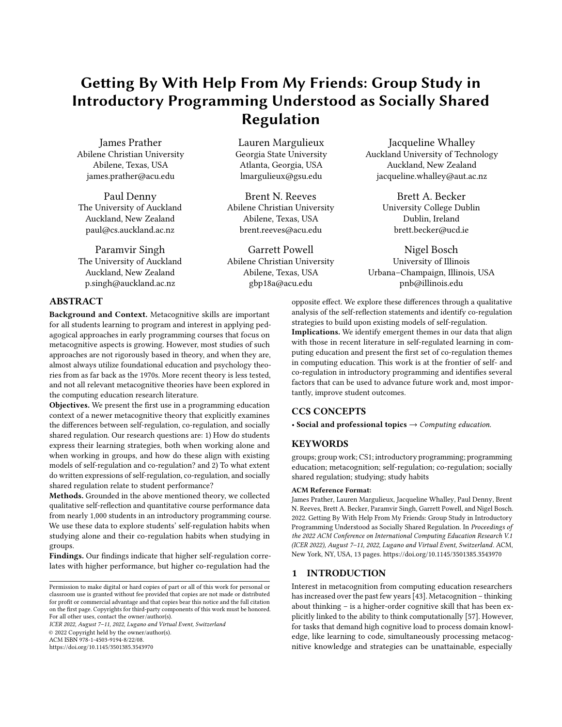# Getting By With Help From My Friends: Group Study in Introductory Programming Understood as Socially Shared Regulation

[James Prather](https://orcid.org/0000-0003-2807-6042) Abilene Christian University Abilene, Texas, USA james.prather@acu.edu

[Paul Denny](https://orcid.org/0000-0002-5150-9806) The University of Auckland Auckland, New Zealand paul@cs.auckland.ac.nz

[Paramvir Singh](https://orcid.org/0000-0001-6787-1642) The University of Auckland Auckland, New Zealand p.singh@auckland.ac.nz

# ABSTRACT

Background and Context. Metacognitive skills are important for all students learning to program and interest in applying pedagogical approaches in early programming courses that focus on metacognitive aspects is growing. However, most studies of such approaches are not rigorously based in theory, and when they are, almost always utilize foundational education and psychology theories from as far back as the 1970s. More recent theory is less tested, and not all relevant metacognitive theories have been explored in the computing education research literature.

Objectives. We present the first use in a programming education context of a newer metacognitive theory that explicitly examines the differences between self-regulation, co-regulation, and socially shared regulation. Our research questions are: 1) How do students express their learning strategies, both when working alone and when working in groups, and how do these align with existing models of self-regulation and co-regulation? and 2) To what extent do written expressions of self-regulation, co-regulation, and socially shared regulation relate to student performance?

Methods. Grounded in the above mentioned theory, we collected qualitative self-reflection and quantitative course performance data from nearly 1,000 students in an introductory programming course. We use these data to explore students' self-regulation habits when studying alone and their co-regulation habits when studying in groups.

Findings. Our findings indicate that higher self-regulation correlates with higher performance, but higher co-regulation had the

ICER 2022, August 7–11, 2022, Lugano and Virtual Event, Switzerland © 2022 Copyright held by the owner/author(s).

ACM ISBN 978-1-4503-9194-8/22/08.

<https://doi.org/10.1145/3501385.3543970>

[Lauren Margulieux](https://orcid.org/0000-0002-8800-2398) Georgia State University Atlanta, Georgia, USA lmargulieux@gsu.edu

[Brent N. Reeves](https://orcid.org/0000-0001-5781-1136) Abilene Christian University Abilene, Texas, USA brent.reeves@acu.edu

[Garrett Powell](https://orcid.org/0000-0002-3221-7015) Abilene Christian University Abilene, Texas, USA gbp18a@acu.edu

[Jacqueline Whalley](https://orcid.org/0000-0001-7633-5200) Auckland University of Technology Auckland, New Zealand jacqueline.whalley@aut.ac.nz

> [Brett A. Becker](https://orcid.org/0000-0003-1446-647X) University College Dublin Dublin, Ireland brett.becker@ucd.ie

[Nigel Bosch](https://orcid.org/0000-0003-2736-2899) University of Illinois Urbana–Champaign, Illinois, USA pnb@illinois.edu

opposite effect. We explore these differences through a qualitative analysis of the self-reflection statements and identify co-regulation strategies to build upon existing models of self-regulation. Implications. We identify emergent themes in our data that align with those in recent literature in self-regulated learning in computing education and present the first set of co-regulation themes in computing education. This work is at the frontier of self- and co-regulation in introductory programming and identifies several factors that can be used to advance future work and, most importantly, improve student outcomes.

## CCS CONCEPTS

• Social and professional topics  $\rightarrow$  Computing education.

## **KEYWORDS**

groups; group work; CS1; introductory programming; programming education; metacognition; self-regulation; co-regulation; socially shared regulation; studying; study habits

#### ACM Reference Format:

James Prather, Lauren Margulieux, Jacqueline Whalley, Paul Denny, Brent N. Reeves, Brett A. Becker, Paramvir Singh, Garrett Powell, and Nigel Bosch. 2022. Getting By With Help From My Friends: Group Study in Introductory Programming Understood as Socially Shared Regulation. In Proceedings of the 2022 ACM Conference on International Computing Education Research V.1 (ICER 2022), August 7–11, 2022, Lugano and Virtual Event, Switzerland. ACM, New York, NY, USA, [13](#page-12-0) pages.<https://doi.org/10.1145/3501385.3543970>

## 1 INTRODUCTION

Interest in metacognition from computing education researchers has increased over the past few years [\[43\]](#page-12-1). Metacognition – thinking about thinking – is a higher-order cognitive skill that has been explicitly linked to the ability to think computationally [\[57\]](#page-12-2). However, for tasks that demand high cognitive load to process domain knowledge, like learning to code, simultaneously processing metacognitive knowledge and strategies can be unattainable, especially

Permission to make digital or hard copies of part or all of this work for personal or classroom use is granted without fee provided that copies are not made or distributed for profit or commercial advantage and that copies bear this notice and the full citation on the first page. Copyrights for third-party components of this work must be honored. For all other uses, contact the owner/author(s).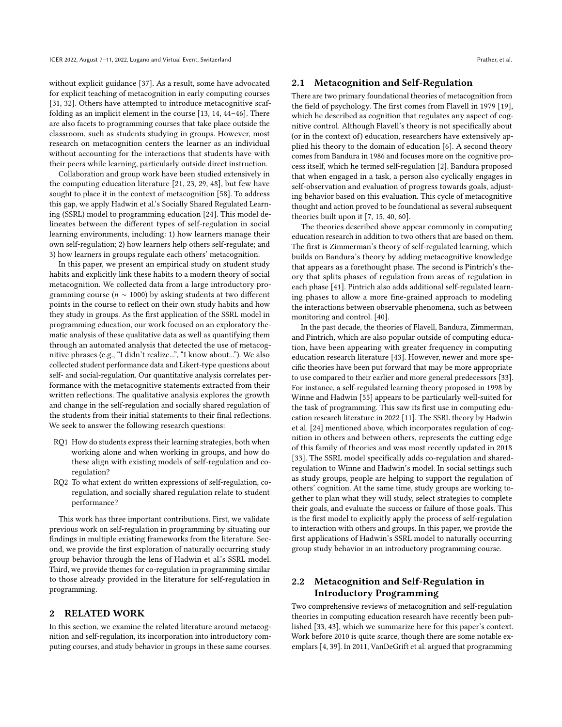without explicit guidance [\[37\]](#page-11-0). As a result, some have advocated for explicit teaching of metacognition in early computing courses [\[31,](#page-11-1) [32\]](#page-11-2). Others have attempted to introduce metacognitive scaffolding as an implicit element in the course [\[13,](#page-11-3) [14,](#page-11-4) [44–](#page-12-3)[46\]](#page-12-4). There are also facets to programming courses that take place outside the classroom, such as students studying in groups. However, most research on metacognition centers the learner as an individual without accounting for the interactions that students have with their peers while learning, particularly outside direct instruction.

Collaboration and group work have been studied extensively in the computing education literature [\[21,](#page-11-5) [23,](#page-11-6) [29,](#page-11-7) [48\]](#page-12-5), but few have sought to place it in the context of metacognition [\[58\]](#page-12-6). To address this gap, we apply Hadwin et al.'s Socially Shared Regulated Learning (SSRL) model to programming education [\[24\]](#page-11-8). This model delineates between the different types of self-regulation in social learning environments, including: 1) how learners manage their own self-regulation; 2) how learners help others self-regulate; and 3) how learners in groups regulate each others' metacognition.

In this paper, we present an empirical study on student study habits and explicitly link these habits to a modern theory of social metacognition. We collected data from a large introductory programming course ( $n \sim 1000$ ) by asking students at two different points in the course to reflect on their own study habits and how they study in groups. As the first application of the SSRL model in programming education, our work focused on an exploratory thematic analysis of these qualitative data as well as quantifying them through an automated analysis that detected the use of metacognitive phrases (e.g., "I didn't realize...", "I know about..."). We also collected student performance data and Likert-type questions about self- and social-regulation. Our quantitative analysis correlates performance with the metacognitive statements extracted from their written reflections. The qualitative analysis explores the growth and change in the self-regulation and socially shared regulation of the students from their initial statements to their final reflections. We seek to answer the following research questions:

- RQ1 How do students express their learning strategies, both when working alone and when working in groups, and how do these align with existing models of self-regulation and coregulation?
- RQ2 To what extent do written expressions of self-regulation, coregulation, and socially shared regulation relate to student performance?

This work has three important contributions. First, we validate previous work on self-regulation in programming by situating our findings in multiple existing frameworks from the literature. Second, we provide the first exploration of naturally occurring study group behavior through the lens of Hadwin et al.'s SSRL model. Third, we provide themes for co-regulation in programming similar to those already provided in the literature for self-regulation in programming.

# 2 RELATED WORK

In this section, we examine the related literature around metacognition and self-regulation, its incorporation into introductory computing courses, and study behavior in groups in these same courses.

## 2.1 Metacognition and Self-Regulation

There are two primary foundational theories of metacognition from the field of psychology. The first comes from Flavell in 1979 [\[19\]](#page-11-9), which he described as cognition that regulates any aspect of cognitive control. Although Flavell's theory is not specifically about (or in the context of) education, researchers have extensively applied his theory to the domain of education [\[6\]](#page-11-10). A second theory comes from Bandura in 1986 and focuses more on the cognitive process itself, which he termed self-regulation [\[2\]](#page-10-0). Bandura proposed that when engaged in a task, a person also cyclically engages in self-observation and evaluation of progress towards goals, adjusting behavior based on this evaluation. This cycle of metacognitive thought and action proved to be foundational as several subsequent theories built upon it [\[7,](#page-11-11) [15,](#page-11-12) [40,](#page-11-13) [60\]](#page-12-7).

The theories described above appear commonly in computing education research in addition to two others that are based on them. The first is Zimmerman's theory of self-regulated learning, which builds on Bandura's theory by adding metacognitive knowledge that appears as a forethought phase. The second is Pintrich's theory that splits phases of regulation from areas of regulation in each phase [\[41\]](#page-12-8). Pintrich also adds additional self-regulated learning phases to allow a more fine-grained approach to modeling the interactions between observable phenomena, such as between monitoring and control. [\[40\]](#page-11-13).

In the past decade, the theories of Flavell, Bandura, Zimmerman, and Pintrich, which are also popular outside of computing education, have been appearing with greater frequency in computing education research literature [\[43\]](#page-12-1). However, newer and more specific theories have been put forward that may be more appropriate to use compared to their earlier and more general predecessors [\[33\]](#page-11-14). For instance, a self-regulated learning theory proposed in 1998 by Winne and Hadwin [\[55\]](#page-12-9) appears to be particularly well-suited for the task of programming. This saw its first use in computing education research literature in 2022 [\[11\]](#page-11-15). The SSRL theory by Hadwin et al. [\[24\]](#page-11-8) mentioned above, which incorporates regulation of cognition in others and between others, represents the cutting edge of this family of theories and was most recently updated in 2018 [\[33\]](#page-11-14). The SSRL model specifically adds co-regulation and sharedregulation to Winne and Hadwin's model. In social settings such as study groups, people are helping to support the regulation of others' cognition. At the same time, study groups are working together to plan what they will study, select strategies to complete their goals, and evaluate the success or failure of those goals. This is the first model to explicitly apply the process of self-regulation to interaction with others and groups. In this paper, we provide the first applications of Hadwin's SSRL model to naturally occurring group study behavior in an introductory programming course.

# <span id="page-1-0"></span>2.2 Metacognition and Self-Regulation in Introductory Programming

Two comprehensive reviews of metacognition and self-regulation theories in computing education research have recently been published [\[33,](#page-11-14) [43\]](#page-12-1), which we summarize here for this paper's context. Work before 2010 is quite scarce, though there are some notable exemplars [\[4,](#page-11-16) [39\]](#page-11-17). In 2011, VanDeGrift et al. argued that programming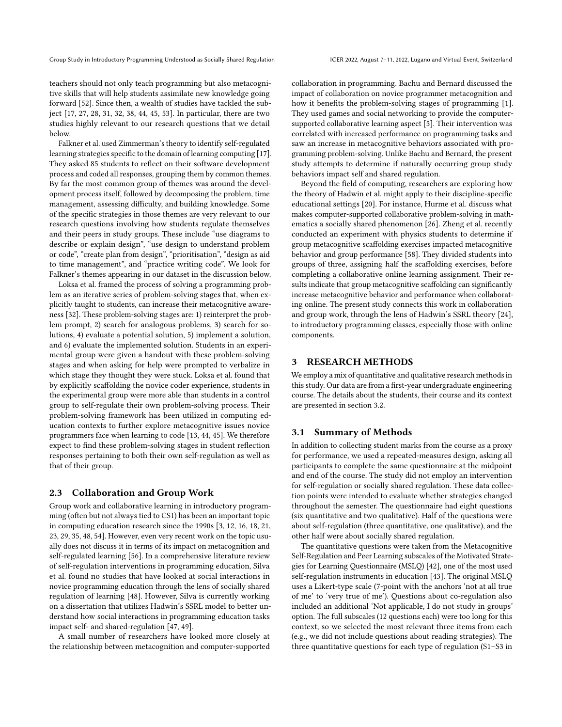Group Study in Introductory Programming Understood as Socially Shared Regulation ICER 2022, August 7-11, 2022, Lugano and Virtual Event, Switzerland

teachers should not only teach programming but also metacognitive skills that will help students assimilate new knowledge going forward [\[52\]](#page-12-10). Since then, a wealth of studies have tackled the subject [\[17,](#page-11-18) [27,](#page-11-19) [28,](#page-11-20) [31,](#page-11-1) [32,](#page-11-2) [38,](#page-11-21) [44,](#page-12-3) [45,](#page-12-11) [53\]](#page-12-12). In particular, there are two studies highly relevant to our research questions that we detail below.

Falkner et al. used Zimmerman's theory to identify self-regulated learning strategies specific to the domain of learning computing [\[17\]](#page-11-18). They asked 85 students to reflect on their software development process and coded all responses, grouping them by common themes. By far the most common group of themes was around the development process itself, followed by decomposing the problem, time management, assessing difficulty, and building knowledge. Some of the specific strategies in those themes are very relevant to our research questions involving how students regulate themselves and their peers in study groups. These include "use diagrams to describe or explain design", "use design to understand problem or code", "create plan from design", "prioritisation", "design as aid to time management", and "practice writing code". We look for Falkner's themes appearing in our dataset in the discussion below.

Loksa et al. framed the process of solving a programming problem as an iterative series of problem-solving stages that, when explicitly taught to students, can increase their metacognitive awareness [\[32\]](#page-11-2). These problem-solving stages are: 1) reinterpret the problem prompt, 2) search for analogous problems, 3) search for solutions, 4) evaluate a potential solution, 5) implement a solution, and 6) evaluate the implemented solution. Students in an experimental group were given a handout with these problem-solving stages and when asking for help were prompted to verbalize in which stage they thought they were stuck. Loksa et al. found that by explicitly scaffolding the novice coder experience, students in the experimental group were more able than students in a control group to self-regulate their own problem-solving process. Their problem-solving framework has been utilized in computing education contexts to further explore metacognitive issues novice programmers face when learning to code [\[13,](#page-11-3) [44,](#page-12-3) [45\]](#page-12-11). We therefore expect to find these problem-solving stages in student reflection responses pertaining to both their own self-regulation as well as that of their group.

#### 2.3 Collaboration and Group Work

Group work and collaborative learning in introductory programming (often but not always tied to CS1) has been an important topic in computing education research since the 1990s [\[3,](#page-10-1) [12,](#page-11-22) [16,](#page-11-23) [18,](#page-11-24) [21,](#page-11-5) [23,](#page-11-6) [29,](#page-11-7) [35,](#page-11-25) [48,](#page-12-5) [54\]](#page-12-13). However, even very recent work on the topic usually does not discuss it in terms of its impact on metacognition and self-regulated learning [\[56\]](#page-12-14). In a comprehensive literature review of self-regulation interventions in programming education, Silva et al. found no studies that have looked at social interactions in novice programming education through the lens of socially shared regulation of learning [\[48\]](#page-12-5). However, Silva is currently working on a dissertation that utilizes Hadwin's SSRL model to better understand how social interactions in programming education tasks impact self- and shared-regulation [\[47,](#page-12-15) [49\]](#page-12-16).

A small number of researchers have looked more closely at the relationship between metacognition and computer-supported collaboration in programming. Bachu and Bernard discussed the impact of collaboration on novice programmer metacognition and how it benefits the problem-solving stages of programming [\[1\]](#page-10-2). They used games and social networking to provide the computersupported collaborative learning aspect [\[5\]](#page-11-26). Their intervention was correlated with increased performance on programming tasks and saw an increase in metacognitive behaviors associated with programming problem-solving. Unlike Bachu and Bernard, the present study attempts to determine if naturally occurring group study behaviors impact self and shared regulation.

Beyond the field of computing, researchers are exploring how the theory of Hadwin et al. might apply to their discipline-specific educational settings [\[20\]](#page-11-27). For instance, Hurme et al. discuss what makes computer-supported collaborative problem-solving in mathematics a socially shared phenomenon [\[26\]](#page-11-28). Zheng et al. recently conducted an experiment with physics students to determine if group metacognitive scaffolding exercises impacted metacognitive behavior and group performance [\[58\]](#page-12-6). They divided students into groups of three, assigning half the scaffolding exercises, before completing a collaborative online learning assignment. Their results indicate that group metacognitive scaffolding can significantly increase metacognitive behavior and performance when collaborating online. The present study connects this work in collaboration and group work, through the lens of Hadwin's SSRL theory [\[24\]](#page-11-8), to introductory programming classes, especially those with online components.

## 3 RESEARCH METHODS

We employ a mix of quantitative and qualitative research methods in this study. Our data are from a first-year undergraduate engineering course. The details about the students, their course and its context are presented in section [3.2.](#page-3-0)

#### 3.1 Summary of Methods

In addition to collecting student marks from the course as a proxy for performance, we used a repeated-measures design, asking all participants to complete the same questionnaire at the midpoint and end of the course. The study did not employ an intervention for self-regulation or socially shared regulation. These data collection points were intended to evaluate whether strategies changed throughout the semester. The questionnaire had eight questions (six quantitative and two qualitative). Half of the questions were about self-regulation (three quantitative, one qualitative), and the other half were about socially shared regulation.

The quantitative questions were taken from the Metacognitive Self-Regulation and Peer Learning subscales of the Motivated Strategies for Learning Questionnaire (MSLQ) [\[42\]](#page-12-17), one of the most used self-regulation instruments in education [\[43\]](#page-12-1). The original MSLQ uses a Likert-type scale (7-point with the anchors 'not at all true of me' to 'very true of me'). Questions about co-regulation also included an additional 'Not applicable, I do not study in groups' option. The full subscales (12 questions each) were too long for this context, so we selected the most relevant three items from each (e.g., we did not include questions about reading strategies). The three quantitative questions for each type of regulation (S1–S3 in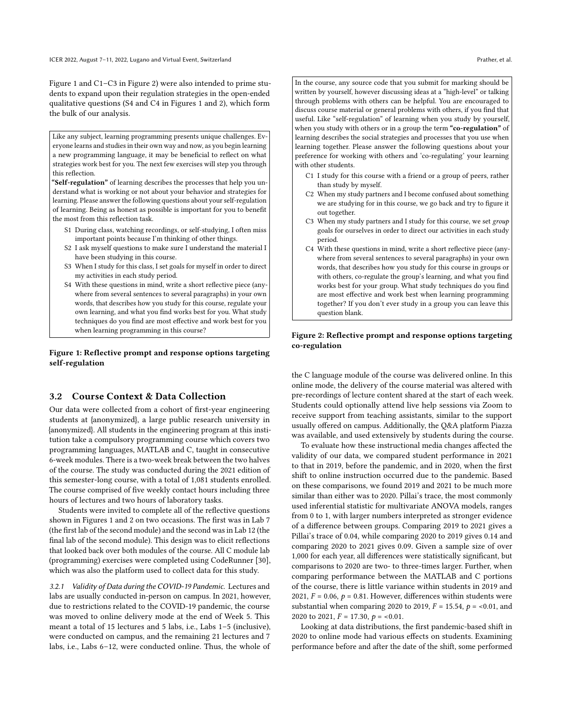Figure [1](#page-3-1) and C1–C3 in Figure [2\)](#page-3-2) were also intended to prime students to expand upon their regulation strategies in the open-ended qualitative questions (S4 and C4 in Figures [1](#page-3-1) and [2\)](#page-3-2), which form the bulk of our analysis.

<span id="page-3-1"></span>Like any subject, learning programming presents unique challenges. Everyone learns and studies in their own way and now, as you begin learning a new programming language, it may be beneficial to reflect on what strategies work best for you. The next few exercises will step you through this reflection.

"Self-regulation" of learning describes the processes that help you understand what is working or not about your behavior and strategies for learning. Please answer the following questions about your self-regulation of learning. Being as honest as possible is important for you to benefit the most from this reflection task.

- S1 During class, watching recordings, or self-studying, I often miss important points because I'm thinking of other things.
- S2 I ask myself questions to make sure I understand the material I have been studying in this course.
- S3 When I study for this class, I set goals for myself in order to direct my activities in each study period.
- S4 With these questions in mind, write a short reflective piece (anywhere from several sentences to several paragraphs) in your own words, that describes how you study for this course, regulate your own learning, and what you find works best for you. What study techniques do you find are most effective and work best for you when learning programming in this course?

#### Figure 1: Reflective prompt and response options targeting self-regulation

## <span id="page-3-0"></span>3.2 Course Context & Data Collection

Our data were collected from a cohort of first-year engineering students at {anonymized}, a large public research university in {anonymized}. All students in the engineering program at this institution take a compulsory programming course which covers two programming languages, MATLAB and C, taught in consecutive 6-week modules. There is a two-week break between the two halves of the course. The study was conducted during the 2021 edition of this semester-long course, with a total of 1,081 students enrolled. The course comprised of five weekly contact hours including three hours of lectures and two hours of laboratory tasks.

Students were invited to complete all of the reflective questions shown in Figures [1](#page-3-1) and [2](#page-3-2) on two occasions. The first was in Lab 7 (the first lab of the second module) and the second was in Lab 12 (the final lab of the second module). This design was to elicit reflections that looked back over both modules of the course. All C module lab (programming) exercises were completed using CodeRunner [\[30\]](#page-11-29), which was also the platform used to collect data for this study.

3.2.1 Validity of Data during the COVID-19 Pandemic. Lectures and labs are usually conducted in-person on campus. In 2021, however, due to restrictions related to the COVID-19 pandemic, the course was moved to online delivery mode at the end of Week 5. This meant a total of 15 lectures and 5 labs, i.e., Labs 1–5 (inclusive), were conducted on campus, and the remaining 21 lectures and 7 labs, i.e., Labs 6–12, were conducted online. Thus, the whole of

<span id="page-3-2"></span>In the course, any source code that you submit for marking should be written by yourself, however discussing ideas at a "high-level" or talking through problems with others can be helpful. You are encouraged to discuss course material or general problems with others, if you find that useful. Like "self-regulation" of learning when you study by yourself, when you study with others or in a group the term "co-regulation" of learning describes the social strategies and processes that you use when learning together. Please answer the following questions about your preference for working with others and 'co-regulating' your learning with other students.

- C1 I study for this course with a friend or a group of peers, rather than study by myself.
- C2 When my study partners and I become confused about something we are studying for in this course, we go back and try to figure it out together.
- C3 When my study partners and I study for this course, we set group goals for ourselves in order to direct our activities in each study period.
- C4 With these questions in mind, write a short reflective piece (anywhere from several sentences to several paragraphs) in your own words, that describes how you study for this course in groups or with others, co-regulate the group's learning, and what you find works best for your group. What study techniques do you find are most effective and work best when learning programming together? If you don't ever study in a group you can leave this question blank.

#### Figure 2: Reflective prompt and response options targeting co-regulation

the C language module of the course was delivered online. In this online mode, the delivery of the course material was altered with pre-recordings of lecture content shared at the start of each week. Students could optionally attend live help sessions via Zoom to receive support from teaching assistants, similar to the support usually offered on campus. Additionally, the Q&A platform Piazza was available, and used extensively by students during the course.

To evaluate how these instructional media changes affected the validity of our data, we compared student performance in 2021 to that in 2019, before the pandemic, and in 2020, when the first shift to online instruction occurred due to the pandemic. Based on these comparisons, we found 2019 and 2021 to be much more similar than either was to 2020. Pillai's trace, the most commonly used inferential statistic for multivariate ANOVA models, ranges from 0 to 1, with larger numbers interpreted as stronger evidence of a difference between groups. Comparing 2019 to 2021 gives a Pillai's trace of 0.04, while comparing 2020 to 2019 gives 0.14 and comparing 2020 to 2021 gives 0.09. Given a sample size of over 1,000 for each year, all differences were statistically significant, but comparisons to 2020 are two- to three-times larger. Further, when comparing performance between the MATLAB and C portions of the course, there is little variance within students in 2019 and 2021,  $F = 0.06$ ,  $p = 0.81$ . However, differences within students were substantial when comparing 2020 to 2019,  $F = 15.54$ ,  $p = <0.01$ , and 2020 to 2021,  $F = 17.30, p = 0.01$ .

Looking at data distributions, the first pandemic-based shift in 2020 to online mode had various effects on students. Examining performance before and after the date of the shift, some performed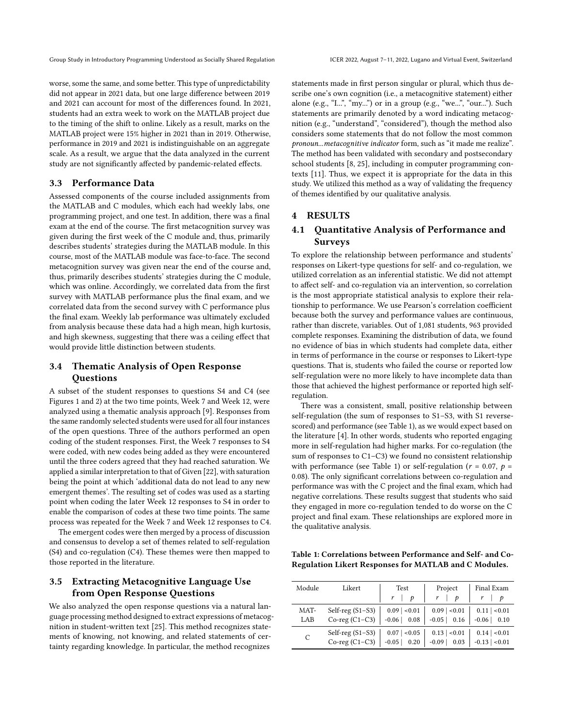worse, some the same, and some better. This type of unpredictability did not appear in 2021 data, but one large difference between 2019 and 2021 can account for most of the differences found. In 2021, students had an extra week to work on the MATLAB project due to the timing of the shift to online. Likely as a result, marks on the MATLAB project were 15% higher in 2021 than in 2019. Otherwise, performance in 2019 and 2021 is indistinguishable on an aggregate scale. As a result, we argue that the data analyzed in the current study are not significantly affected by pandemic-related effects.

## 3.3 Performance Data

Assessed components of the course included assignments from the MATLAB and C modules, which each had weekly labs, one programming project, and one test. In addition, there was a final exam at the end of the course. The first metacognition survey was given during the first week of the C module and, thus, primarily describes students' strategies during the MATLAB module. In this course, most of the MATLAB module was face-to-face. The second metacognition survey was given near the end of the course and, thus, primarily describes students' strategies during the C module, which was online. Accordingly, we correlated data from the first survey with MATLAB performance plus the final exam, and we correlated data from the second survey with C performance plus the final exam. Weekly lab performance was ultimately excluded from analysis because these data had a high mean, high kurtosis, and high skewness, suggesting that there was a ceiling effect that would provide little distinction between students.

# 3.4 Thematic Analysis of Open Response **Questions**

A subset of the student responses to questions S4 and C4 (see Figures [1](#page-3-1) and [2\)](#page-3-2) at the two time points, Week 7 and Week 12, were analyzed using a thematic analysis approach [\[9\]](#page-11-30). Responses from the same randomly selected students were used for all four instances of the open questions. Three of the authors performed an open coding of the student responses. First, the Week 7 responses to S4 were coded, with new codes being added as they were encountered until the three coders agreed that they had reached saturation. We applied a similar interpretation to that of Given [\[22\]](#page-11-31), with saturation being the point at which 'additional data do not lead to any new emergent themes'. The resulting set of codes was used as a starting point when coding the later Week 12 responses to S4 in order to enable the comparison of codes at these two time points. The same process was repeated for the Week 7 and Week 12 responses to C4.

The emergent codes were then merged by a process of discussion and consensus to develop a set of themes related to self-regulation (S4) and co-regulation (C4). These themes were then mapped to those reported in the literature.

# <span id="page-4-1"></span>3.5 Extracting Metacognitive Language Use from Open Response Questions

We also analyzed the open response questions via a natural language processing method designed to extract expressions of metacognition in student-written text [\[25\]](#page-11-32). This method recognizes statements of knowing, not knowing, and related statements of certainty regarding knowledge. In particular, the method recognizes

statements made in first person singular or plural, which thus describe one's own cognition (i.e., a metacognitive statement) either alone (e.g., "L..", "my...") or in a group (e.g., "we...", "our..."). Such statements are primarily denoted by a word indicating metacognition (e.g., "understand", "considered"), though the method also considers some statements that do not follow the most common pronoun...metacognitive indicator form, such as "it made me realize". The method has been validated with secondary and postsecondary school students [\[8,](#page-11-33) [25\]](#page-11-32), including in computer programming contexts [\[11\]](#page-11-15). Thus, we expect it is appropriate for the data in this study. We utilized this method as a way of validating the frequency of themes identified by our qualitative analysis.

## 4 RESULTS

# 4.1 Quantitative Analysis of Performance and Surveys

To explore the relationship between performance and students' responses on Likert-type questions for self- and co-regulation, we utilized correlation as an inferential statistic. We did not attempt to affect self- and co-regulation via an intervention, so correlation is the most appropriate statistical analysis to explore their relationship to performance. We use Pearson's correlation coefficient because both the survey and performance values are continuous, rather than discrete, variables. Out of 1,081 students, 963 provided complete responses. Examining the distribution of data, we found no evidence of bias in which students had complete data, either in terms of performance in the course or responses to Likert-type questions. That is, students who failed the course or reported low self-regulation were no more likely to have incomplete data than those that achieved the highest performance or reported high selfregulation.

There was a consistent, small, positive relationship between self-regulation (the sum of responses to S1–S3, with S1 reversescored) and performance (see Table [1\)](#page-4-0), as we would expect based on the literature [\[4\]](#page-11-16). In other words, students who reported engaging more in self-regulation had higher marks. For co-regulation (the sum of responses to C1–C3) we found no consistent relationship with performance (see Table [1\)](#page-4-0) or self-regulation ( $r = 0.07$ ,  $p =$ 0.08). The only significant correlations between co-regulation and performance was with the C project and the final exam, which had negative correlations. These results suggest that students who said they engaged in more co-regulation tended to do worse on the C project and final exam. These relationships are explored more in the qualitative analysis.

<span id="page-4-0"></span>Table 1: Correlations between Performance and Self- and Co-Regulation Likert Responses for MATLAB and C Modules.

| Module      | Likert                                 | Test                              | Project                             | Final Exam                           |
|-------------|----------------------------------------|-----------------------------------|-------------------------------------|--------------------------------------|
|             |                                        | $r$   $p$                         | $r$   $p$                           |                                      |
| MAT-<br>LAB | Self-reg $(S1-S3)$<br>$Co-reg (C1-C3)$ | $0.09$   <0.01<br>$-0.06$   0.08  | $0.09$   <0.01<br>$-0.05$   0.16    | $0.11 \mid 0.01$<br>$-0.06$   0.10   |
| C           | Self-reg $(S1-S3)$<br>$Co-reg (C1-C3)$ | $0.07$   <0.05<br>$-0.05$<br>0.20 | $0.13 \mid 0.01$<br>$-0.09$<br>0.03 | $0.14$   <0.01<br>$-0.13$ $ $ < 0.01 |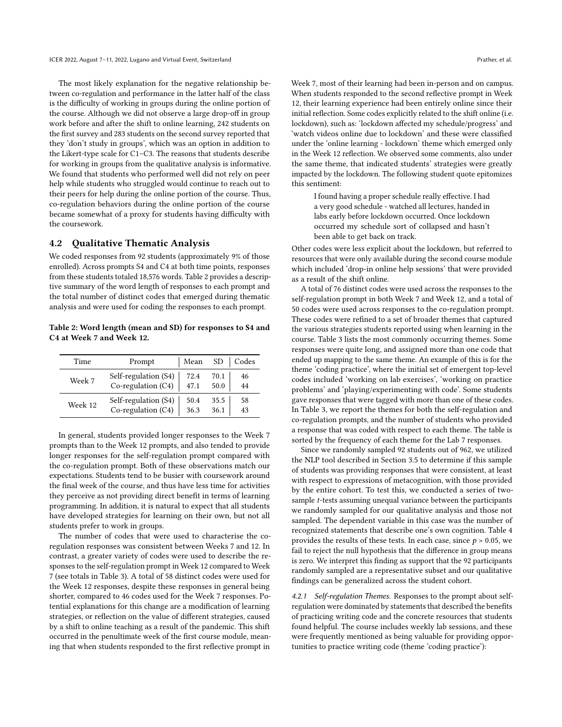The most likely explanation for the negative relationship between co-regulation and performance in the latter half of the class is the difficulty of working in groups during the online portion of the course. Although we did not observe a large drop-off in group work before and after the shift to online learning, 242 students on the first survey and 283 students on the second survey reported that they 'don't study in groups', which was an option in addition to the Likert-type scale for C1–C3. The reasons that students describe for working in groups from the qualitative analysis is informative. We found that students who performed well did not rely on peer help while students who struggled would continue to reach out to their peers for help during the online portion of the course. Thus, co-regulation behaviors during the online portion of the course became somewhat of a proxy for students having difficulty with the coursework.

#### 4.2 Qualitative Thematic Analysis

We coded responses from 92 students (approximately 9% of those enrolled). Across prompts S4 and C4 at both time points, responses from these students totaled 18,576 words. Table [2](#page-5-0) provides a descriptive summary of the word length of responses to each prompt and the total number of distinct codes that emerged during thematic analysis and were used for coding the responses to each prompt.

<span id="page-5-0"></span>Table 2: Word length (mean and SD) for responses to S4 and C4 at Week 7 and Week 12.

| Time    | Prompt               | Mean | SD   | Codes |
|---------|----------------------|------|------|-------|
| Week 7  | Self-regulation (S4) | 72.4 | 70.1 | 46    |
|         | Co-regulation (C4)   | 47.1 | 50.0 | 44    |
| Week 12 | Self-regulation (S4) | 50.4 | 35.5 | 58    |
|         | Co-regulation (C4)   | 36.3 | 36.1 | 43    |

In general, students provided longer responses to the Week 7 prompts than to the Week 12 prompts, and also tended to provide longer responses for the self-regulation prompt compared with the co-regulation prompt. Both of these observations match our expectations. Students tend to be busier with coursework around the final week of the course, and thus have less time for activities they perceive as not providing direct benefit in terms of learning programming. In addition, it is natural to expect that all students have developed strategies for learning on their own, but not all students prefer to work in groups.

The number of codes that were used to characterise the coregulation responses was consistent between Weeks 7 and 12. In contrast, a greater variety of codes were used to describe the responses to the self-regulation prompt in Week 12 compared to Week 7 (see totals in Table [3\)](#page-6-0). A total of 58 distinct codes were used for the Week 12 responses, despite these responses in general being shorter, compared to 46 codes used for the Week 7 responses. Potential explanations for this change are a modification of learning strategies, or reflection on the value of different strategies, caused by a shift to online teaching as a result of the pandemic. This shift occurred in the penultimate week of the first course module, meaning that when students responded to the first reflective prompt in

Week 7, most of their learning had been in-person and on campus. When students responded to the second reflective prompt in Week 12, their learning experience had been entirely online since their initial reflection. Some codes explicitly related to the shift online (i.e. lockdown), such as: 'lockdown affected my schedule/progress' and 'watch videos online due to lockdown' and these were classified under the 'online learning - lockdown' theme which emerged only in the Week 12 reflection. We observed some comments, also under the same theme, that indicated students' strategies were greatly impacted by the lockdown. The following student quote epitomizes this sentiment:

I found having a proper schedule really effective. I had a very good schedule - watched all lectures, handed in labs early before lockdown occurred. Once lockdown occurred my schedule sort of collapsed and hasn't been able to get back on track.

Other codes were less explicit about the lockdown, but referred to resources that were only available during the second course module which included 'drop-in online help sessions' that were provided as a result of the shift online.

A total of 76 distinct codes were used across the responses to the self-regulation prompt in both Week 7 and Week 12, and a total of 50 codes were used across responses to the co-regulation prompt. These codes were refined to a set of broader themes that captured the various strategies students reported using when learning in the course. Table [3](#page-6-0) lists the most commonly occurring themes. Some responses were quite long, and assigned more than one code that ended up mapping to the same theme. An example of this is for the theme 'coding practice', where the initial set of emergent top-level codes included 'working on lab exercises', 'working on practice problems' and 'playing/experimenting with code'. Some students gave responses that were tagged with more than one of these codes. In Table [3,](#page-6-0) we report the themes for both the self-regulation and co-regulation prompts, and the number of students who provided a response that was coded with respect to each theme. The table is sorted by the frequency of each theme for the Lab 7 responses.

Since we randomly sampled 92 students out of 962, we utilized the NLP tool described in Section [3.5](#page-4-1) to determine if this sample of students was providing responses that were consistent, at least with respect to expressions of metacognition, with those provided by the entire cohort. To test this, we conducted a series of twosample t-tests assuming unequal variance between the participants we randomly sampled for our qualitative analysis and those not sampled. The dependent variable in this case was the number of recognized statements that describe one's own cognition. Table [4](#page-6-1) provides the results of these tests. In each case, since  $p > 0.05$ , we fail to reject the null hypothesis that the difference in group means is zero. We interpret this finding as support that the 92 participants randomly sampled are a representative subset and our qualitative findings can be generalized across the student cohort.

4.2.1 Self-regulation Themes. Responses to the prompt about selfregulation were dominated by statements that described the benefits of practicing writing code and the concrete resources that students found helpful. The course includes weekly lab sessions, and these were frequently mentioned as being valuable for providing opportunities to practice writing code (theme 'coding practice'):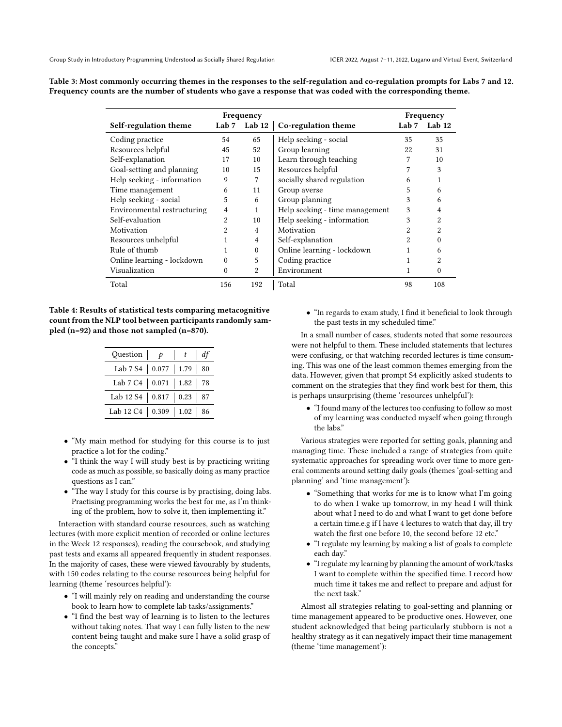| Frequency                                                        |          |                |                                | Frequency      |     |  |
|------------------------------------------------------------------|----------|----------------|--------------------------------|----------------|-----|--|
| Lab $7$ Lab $12$<br>Self-regulation theme<br>Co-regulation theme |          |                | Lab $7$ Lab $12$               |                |     |  |
| Coding practice                                                  | 54       | 65             | Help seeking - social          | 35             | 35  |  |
| Resources helpful                                                | 45       | 52             | Group learning                 | 22             | 31  |  |
| Self-explanation                                                 | 17       | 10             | Learn through teaching         |                | 10  |  |
| Goal-setting and planning                                        | 10       | 15             | Resources helpful              |                | 3   |  |
| Help seeking - information                                       | 9        |                | socially shared regulation     | 6              |     |  |
| Time management                                                  | 6        | 11             | Group averse                   | 5              | 6   |  |
| Help seeking - social                                            | 5        | 6              | Group planning                 | 3              | 6   |  |
| Environmental restructuring                                      | 4        |                | Help seeking - time management | 3              | 4   |  |
| Self-evaluation                                                  | 2        | 10             | Help seeking - information     | 3              |     |  |
| Motivation                                                       | 2        | 4              | Motivation                     | $\overline{2}$ | 2   |  |
| Resources unhelpful                                              |          | $\overline{4}$ | Self-explanation               | 2              |     |  |
| Rule of thumb                                                    |          | $\Omega$       | Online learning - lockdown     |                | 6   |  |
| Online learning - lockdown                                       | $\Omega$ | 5              | Coding practice                |                |     |  |
| Visualization                                                    | 0        | 2              | Environment                    |                | 0   |  |
| Total                                                            | 156      | 192            | Total                          | 98             | 108 |  |

<span id="page-6-0"></span>Table 3: Most commonly occurring themes in the responses to the self-regulation and co-regulation prompts for Labs 7 and 12. Frequency counts are the number of students who gave a response that was coded with the corresponding theme.

<span id="page-6-1"></span>Table 4: Results of statistical tests comparing metacognitive count from the NLP tool between participants randomly sampled (n=92) and those not sampled (n=870).

| Question $  p$                  | $\vert t \vert$ | dt |
|---------------------------------|-----------------|----|
| Lab 7 S4   0.077   1.79   80    |                 |    |
| Lab 7 C4   0.071   1.82   78    |                 |    |
| Lab 12 S4   0.817   0.23   87   |                 |    |
| Lab 12 C4   $0.309$   1.02   86 |                 |    |

- "My main method for studying for this course is to just practice a lot for the coding."
- "I think the way I will study best is by practicing writing code as much as possible, so basically doing as many practice questions as I can."
- "The way I study for this course is by practising, doing labs. Practising programming works the best for me, as I'm thinking of the problem, how to solve it, then implementing it."

Interaction with standard course resources, such as watching lectures (with more explicit mention of recorded or online lectures in the Week 12 responses), reading the coursebook, and studying past tests and exams all appeared frequently in student responses. In the majority of cases, these were viewed favourably by students, with 150 codes relating to the course resources being helpful for learning (theme 'resources helpful'):

- "I will mainly rely on reading and understanding the course book to learn how to complete lab tasks/assignments."
- "I find the best way of learning is to listen to the lectures without taking notes. That way I can fully listen to the new content being taught and make sure I have a solid grasp of the concepts."

• "In regards to exam study, I find it beneficial to look through the past tests in my scheduled time."

In a small number of cases, students noted that some resources were not helpful to them. These included statements that lectures were confusing, or that watching recorded lectures is time consuming. This was one of the least common themes emerging from the data. However, given that prompt S4 explicitly asked students to comment on the strategies that they find work best for them, this is perhaps unsurprising (theme 'resources unhelpful'):

• "I found many of the lectures too confusing to follow so most of my learning was conducted myself when going through the labs."

Various strategies were reported for setting goals, planning and managing time. These included a range of strategies from quite systematic approaches for spreading work over time to more general comments around setting daily goals (themes 'goal-setting and planning' and 'time management'):

- "Something that works for me is to know what I'm going to do when I wake up tomorrow, in my head I will think about what I need to do and what I want to get done before a certain time.e.g if I have 4 lectures to watch that day, ill try watch the first one before 10, the second before 12 etc."
- "I regulate my learning by making a list of goals to complete each day."
- "I regulate my learning by planning the amount of work/tasks I want to complete within the specified time. I record how much time it takes me and reflect to prepare and adjust for the next task."

Almost all strategies relating to goal-setting and planning or time management appeared to be productive ones. However, one student acknowledged that being particularly stubborn is not a healthy strategy as it can negatively impact their time management (theme 'time management'):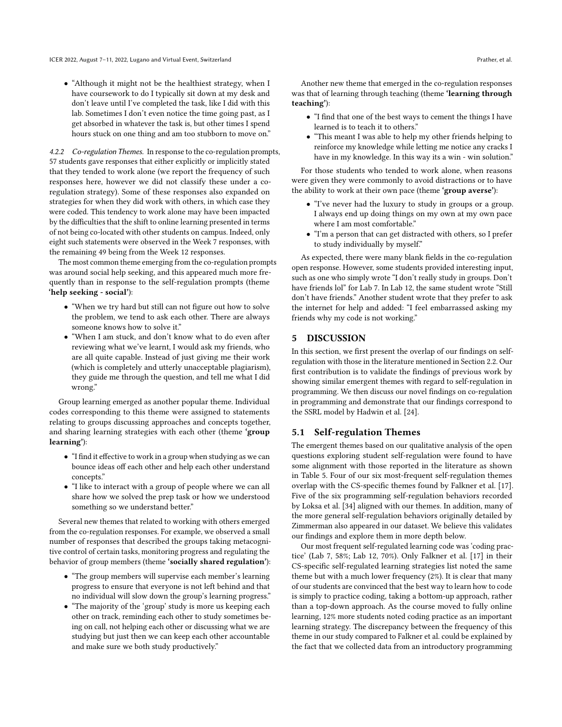• "Although it might not be the healthiest strategy, when I have coursework to do I typically sit down at my desk and don't leave until I've completed the task, like I did with this lab. Sometimes I don't even notice the time going past, as I get absorbed in whatever the task is, but other times I spend hours stuck on one thing and am too stubborn to move on."

4.2.2 Co-regulation Themes. In response to the co-regulation prompts, 57 students gave responses that either explicitly or implicitly stated that they tended to work alone (we report the frequency of such responses here, however we did not classify these under a coregulation strategy). Some of these responses also expanded on strategies for when they did work with others, in which case they were coded. This tendency to work alone may have been impacted by the difficulties that the shift to online learning presented in terms of not being co-located with other students on campus. Indeed, only eight such statements were observed in the Week 7 responses, with the remaining 49 being from the Week 12 responses.

The most common theme emerging from the co-regulation prompts was around social help seeking, and this appeared much more frequently than in response to the self-regulation prompts (theme 'help seeking - social'):

- "When we try hard but still can not figure out how to solve the problem, we tend to ask each other. There are always someone knows how to solve it."
- "When I am stuck, and don't know what to do even after reviewing what we've learnt, I would ask my friends, who are all quite capable. Instead of just giving me their work (which is completely and utterly unacceptable plagiarism), they guide me through the question, and tell me what I did wrong."

Group learning emerged as another popular theme. Individual codes corresponding to this theme were assigned to statements relating to groups discussing approaches and concepts together, and sharing learning strategies with each other (theme 'group learning'):

- "I find it effective to work in a group when studying as we can bounce ideas off each other and help each other understand concepts."
- "I like to interact with a group of people where we can all share how we solved the prep task or how we understood something so we understand better."

Several new themes that related to working with others emerged from the co-regulation responses. For example, we observed a small number of responses that described the groups taking metacognitive control of certain tasks, monitoring progress and regulating the behavior of group members (theme 'socially shared regulation'):

- "The group members will supervise each member's learning progress to ensure that everyone is not left behind and that no individual will slow down the group's learning progress."
- "The majority of the 'group' study is more us keeping each other on track, reminding each other to study sometimes being on call, not helping each other or discussing what we are studying but just then we can keep each other accountable and make sure we both study productively."

Another new theme that emerged in the co-regulation responses was that of learning through teaching (theme 'learning through teaching'):

- "I find that one of the best ways to cement the things I have learned is to teach it to others."
- "This meant I was able to help my other friends helping to reinforce my knowledge while letting me notice any cracks I have in my knowledge. In this way its a win - win solution."

For those students who tended to work alone, when reasons were given they were commonly to avoid distractions or to have the ability to work at their own pace (theme 'group averse'):

- "I've never had the luxury to study in groups or a group. I always end up doing things on my own at my own pace where I am most comfortable."
- "I'm a person that can get distracted with others, so I prefer to study individually by myself."

As expected, there were many blank fields in the co-regulation open response. However, some students provided interesting input, such as one who simply wrote "I don't really study in groups. Don't have friends lol" for Lab 7. In Lab 12, the same student wrote "Still don't have friends." Another student wrote that they prefer to ask the internet for help and added: "I feel embarrassed asking my friends why my code is not working."

## 5 DISCUSSION

In this section, we first present the overlap of our findings on selfregulation with those in the literature mentioned in Section [2.2.](#page-1-0) Our first contribution is to validate the findings of previous work by showing similar emergent themes with regard to self-regulation in programming. We then discuss our novel findings on co-regulation in programming and demonstrate that our findings correspond to the SSRL model by Hadwin et al. [\[24\]](#page-11-8).

#### 5.1 Self-regulation Themes

The emergent themes based on our qualitative analysis of the open questions exploring student self-regulation were found to have some alignment with those reported in the literature as shown in Table [5.](#page-8-0) Four of our six most-frequent self-regulation themes overlap with the CS-specific themes found by Falkner et al. [\[17\]](#page-11-18). Five of the six programming self-regulation behaviors recorded by Loksa et al. [\[34\]](#page-11-34) aligned with our themes. In addition, many of the more general self-regulation behaviors originally detailed by Zimmerman also appeared in our dataset. We believe this validates our findings and explore them in more depth below.

Our most frequent self-regulated learning code was 'coding practice' (Lab 7, 58%; Lab 12, 70%). Only Falkner et al. [\[17\]](#page-11-18) in their CS-specific self-regulated learning strategies list noted the same theme but with a much lower frequency (2%). It is clear that many of our students are convinced that the best way to learn how to code is simply to practice coding, taking a bottom-up approach, rather than a top-down approach. As the course moved to fully online learning, 12% more students noted coding practice as an important learning strategy. The discrepancy between the frequency of this theme in our study compared to Falkner et al. could be explained by the fact that we collected data from an introductory programming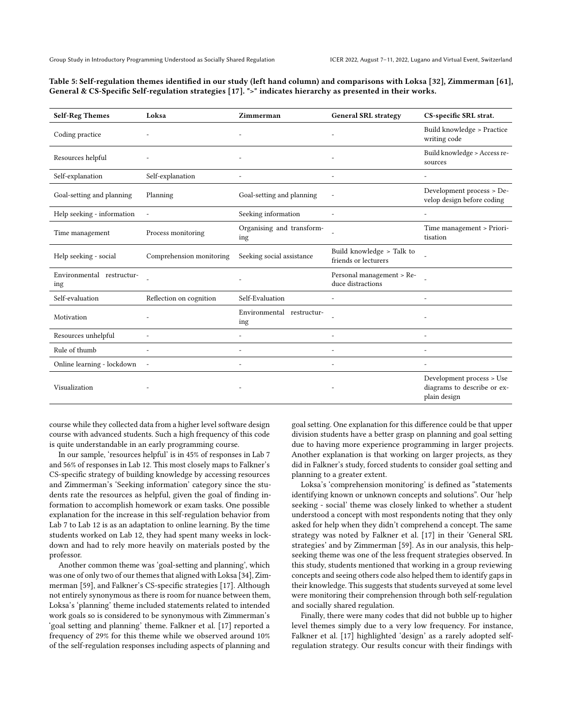<span id="page-8-0"></span>

| Table 5: Self-regulation themes identified in our study (left hand column) and comparisons with Loksa [32], Zimmerman [61], |  |
|-----------------------------------------------------------------------------------------------------------------------------|--|
| General & CS-Specific Self-regulation strategies [17]. ">" indicates hierarchy as presented in their works.                 |  |

| <b>Self-Reg Themes</b>           | Loksa                    | Zimmerman                        | <b>General SRL strategy</b>                       | CS-specific SRL strat.                                                   |
|----------------------------------|--------------------------|----------------------------------|---------------------------------------------------|--------------------------------------------------------------------------|
| Coding practice                  |                          |                                  |                                                   | Build knowledge > Practice<br>writing code                               |
| Resources helpful                |                          |                                  |                                                   | Build knowledge > Access re-<br>sources                                  |
| Self-explanation                 | Self-explanation         |                                  |                                                   |                                                                          |
| Goal-setting and planning        | Planning                 | Goal-setting and planning        |                                                   | Development process > De-<br>velop design before coding                  |
| Help seeking - information       |                          | Seeking information              |                                                   |                                                                          |
| Time management                  | Process monitoring       | Organising and transform-<br>ing |                                                   | Time management > Priori-<br>tisation                                    |
| Help seeking - social            | Comprehension monitoring | Seeking social assistance        | Build knowledge > Talk to<br>friends or lecturers |                                                                          |
| Environmental restructur-<br>ing |                          |                                  | Personal management > Re-<br>duce distractions    |                                                                          |
| Self-evaluation                  | Reflection on cognition  | Self-Evaluation                  |                                                   |                                                                          |
| Motivation                       |                          | Environmental restructur-<br>ing |                                                   |                                                                          |
| Resources unhelpful              |                          |                                  |                                                   |                                                                          |
| Rule of thumb                    |                          |                                  |                                                   |                                                                          |
| Online learning - lockdown       | $\sim$                   |                                  |                                                   |                                                                          |
| Visualization                    |                          |                                  |                                                   | Development process > Use<br>diagrams to describe or ex-<br>plain design |

course while they collected data from a higher level software design course with advanced students. Such a high frequency of this code is quite understandable in an early programming course.

In our sample, 'resources helpful' is in 45% of responses in Lab 7 and 56% of responses in Lab 12. This most closely maps to Falkner's CS-specific strategy of building knowledge by accessing resources and Zimmerman's 'Seeking information' category since the students rate the resources as helpful, given the goal of finding information to accomplish homework or exam tasks. One possible explanation for the increase in this self-regulation behavior from Lab 7 to Lab 12 is as an adaptation to online learning. By the time students worked on Lab 12, they had spent many weeks in lockdown and had to rely more heavily on materials posted by the professor.

Another common theme was 'goal-setting and planning', which was one of only two of our themes that aligned with Loksa [\[34\]](#page-11-34), Zimmerman [\[59\]](#page-12-19), and Falkner's CS-specific strategies [\[17\]](#page-11-18). Although not entirely synonymous as there is room for nuance between them, Loksa's 'planning' theme included statements related to intended work goals so is considered to be synonymous with Zimmerman's 'goal setting and planning' theme. Falkner et al. [\[17\]](#page-11-18) reported a frequency of 29% for this theme while we observed around 10% of the self-regulation responses including aspects of planning and

goal setting. One explanation for this difference could be that upper division students have a better grasp on planning and goal setting due to having more experience programming in larger projects. Another explanation is that working on larger projects, as they did in Falkner's study, forced students to consider goal setting and planning to a greater extent.

Loksa's 'comprehension monitoring' is defined as "statements identifying known or unknown concepts and solutions". Our 'help seeking - social' theme was closely linked to whether a student understood a concept with most respondents noting that they only asked for help when they didn't comprehend a concept. The same strategy was noted by Falkner et al. [\[17\]](#page-11-18) in their 'General SRL strategies' and by Zimmerman [\[59\]](#page-12-19). As in our analysis, this helpseeking theme was one of the less frequent strategies observed. In this study, students mentioned that working in a group reviewing concepts and seeing others code also helped them to identify gaps in their knowledge. This suggests that students surveyed at some level were monitoring their comprehension through both self-regulation and socially shared regulation.

Finally, there were many codes that did not bubble up to higher level themes simply due to a very low frequency. For instance, Falkner et al. [\[17\]](#page-11-18) highlighted 'design' as a rarely adopted selfregulation strategy. Our results concur with their findings with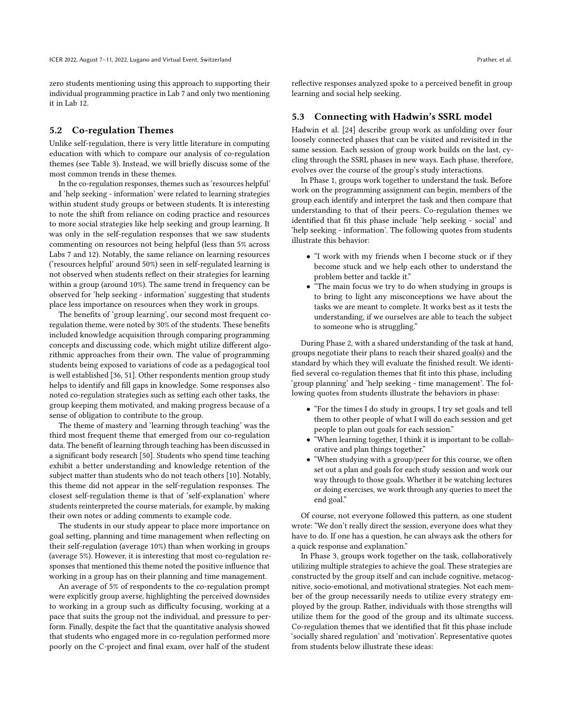zero students mentioning using this approach to supporting their individual programming practice in Lab 7 and only two mentioning it in Lab 12.

#### 5.2 Co-regulation Themes

Unlike self-regulation, there is very little literature in computing education with which to compare our analysis of co-regulation themes (see Table [3\)](#page-6-0). Instead, we will briefly discuss some of the most common trends in these themes.

In the co-regulation responses, themes such as 'resources helpful' and 'help seeking - information' were related to learning strategies within student study groups or between students. It is interesting to note the shift from reliance on coding practice and resources to more social strategies like help seeking and group learning. It was only in the self-regulation responses that we saw students commenting on resources not being helpful (less than 5% across Labs 7 and 12). Notably, the same reliance on learning resources ('resources helpful' around 50%) seen in self-regulated learning is not observed when students reflect on their strategies for learning within a group (around 10%). The same trend in frequency can be observed for 'help seeking - information' suggesting that students place less importance on resources when they work in groups.

The benefits of 'group learning', our second most frequent coregulation theme, were noted by 30% of the students. These benefits included knowledge acquisition through comparing programming concepts and discussing code, which might utilize different algorithmic approaches from their own. The value of programming students being exposed to variations of code as a pedagogical tool is well established [\[36,](#page-11-35) [51\]](#page-12-20). Other respondents mention group study helps to identify and fill gaps in knowledge. Some responses also noted co-regulation strategies such as setting each other tasks, the group keeping them motivated, and making progress because of a sense of obligation to contribute to the group.

The theme of mastery and 'learning through teaching' was the third most frequent theme that emerged from our co-regulation data. The benefit of learning through teaching has been discussed in a significant body research [\[50\]](#page-12-21). Students who spend time teaching exhibit a better understanding and knowledge retention of the subject matter than students who do not teach others [\[10\]](#page-11-36). Notably, this theme did not appear in the self-regulation responses. The closest self-regulation theme is that of 'self-explanation' where students reinterpreted the course materials, for example, by making their own notes or adding comments to example code.

The students in our study appear to place more importance on goal setting, planning and time management when reflecting on their self-regulation (average 10%) than when working in groups (average 5%). However, it is interesting that most co-regulation responses that mentioned this theme noted the positive influence that working in a group has on their planning and time management.

An average of 5% of respondents to the co-regulation prompt were explicitly group averse, highlighting the perceived downsides to working in a group such as difficulty focusing, working at a pace that suits the group not the individual, and pressure to perform. Finally, despite the fact that the quantitative analysis showed that students who engaged more in co-regulation performed more poorly on the C-project and final exam, over half of the student

reflective responses analyzed spoke to a perceived benefit in group learning and social help seeking.

#### 5.3 Connecting with Hadwin's SSRL model

Hadwin et al. [\[24\]](#page-11-8) describe group work as unfolding over four loosely connected phases that can be visited and revisited in the same session. Each session of group work builds on the last, cycling through the SSRL phases in new ways. Each phase, therefore, evolves over the course of the group's study interactions.

In Phase 1, groups work together to understand the task. Before work on the programming assignment can begin, members of the group each identify and interpret the task and then compare that understanding to that of their peers. Co-regulation themes we identified that fit this phase include 'help seeking - social' and 'help seeking - information'. The following quotes from students illustrate this behavior:

- "I work with my friends when I become stuck or if they become stuck and we help each other to understand the problem better and tackle it."
- "The main focus we try to do when studying in groups is to bring to light any misconceptions we have about the tasks we are meant to complete. It works best as it tests the understanding, if we ourselves are able to teach the subject to someone who is struggling."

During Phase 2, with a shared understanding of the task at hand, groups negotiate their plans to reach their shared goal(s) and the standard by which they will evaluate the finished result. We identified several co-regulation themes that fit into this phase, including 'group planning' and 'help seeking - time management'. The following quotes from students illustrate the behaviors in phase:

- "For the times I do study in groups, I try set goals and tell them to other people of what I will do each session and get people to plan out goals for each session."
- "When learning together, I think it is important to be collaborative and plan things together."
- "When studying with a group/peer for this course, we often set out a plan and goals for each study session and work our way through to those goals. Whether it be watching lectures or doing exercises, we work through any queries to meet the end goal."

Of course, not everyone followed this pattern, as one student wrote: "We don't really direct the session, everyone does what they have to do. If one has a question, he can always ask the others for a quick response and explanation."

In Phase 3, groups work together on the task, collaboratively utilizing multiple strategies to achieve the goal. These strategies are constructed by the group itself and can include cognitive, metacognitive, socio-emotional, and motivational strategies. Not each member of the group necessarily needs to utilize every strategy employed by the group. Rather, individuals with those strengths will utilize them for the good of the group and its ultimate success. Co-regulation themes that we identified that fit this phase include 'socially shared regulation' and 'motivation'. Representative quotes from students below illustrate these ideas: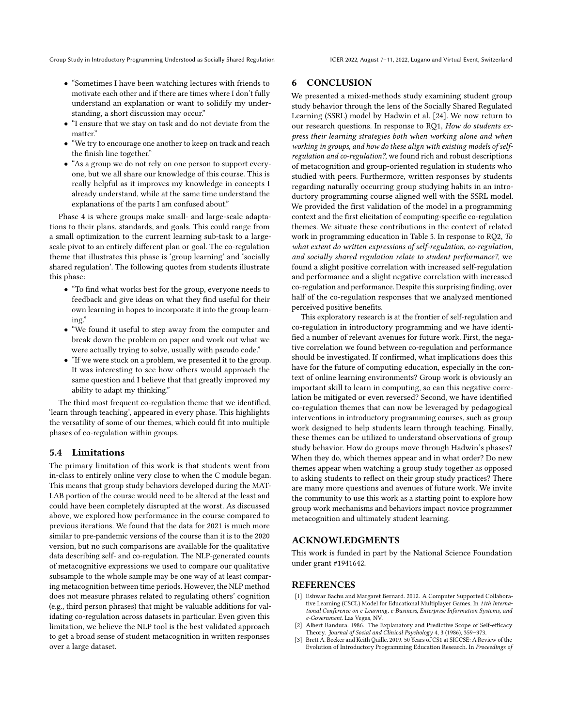Group Study in Introductory Programming Understood as Socially Shared Regulation ICER 2022, August 7-11, 2022, Lugano and Virtual Event, Switzerland

- "Sometimes I have been watching lectures with friends to motivate each other and if there are times where I don't fully understand an explanation or want to solidify my understanding, a short discussion may occur."
- "I ensure that we stay on task and do not deviate from the matter."
- "We try to encourage one another to keep on track and reach the finish line together."
- "As a group we do not rely on one person to support everyone, but we all share our knowledge of this course. This is really helpful as it improves my knowledge in concepts I already understand, while at the same time understand the explanations of the parts I am confused about."

Phase 4 is where groups make small- and large-scale adaptations to their plans, standards, and goals. This could range from a small optimization to the current learning sub-task to a largescale pivot to an entirely different plan or goal. The co-regulation theme that illustrates this phase is 'group learning' and 'socially shared regulation'. The following quotes from students illustrate this phase:

- "To find what works best for the group, everyone needs to feedback and give ideas on what they find useful for their own learning in hopes to incorporate it into the group learning."
- "We found it useful to step away from the computer and break down the problem on paper and work out what we were actually trying to solve, usually with pseudo code."
- "If we were stuck on a problem, we presented it to the group. It was interesting to see how others would approach the same question and I believe that that greatly improved my ability to adapt my thinking."

The third most frequent co-regulation theme that we identified, 'learn through teaching', appeared in every phase. This highlights the versatility of some of our themes, which could fit into multiple phases of co-regulation within groups.

## 5.4 Limitations

The primary limitation of this work is that students went from in-class to entirely online very close to when the C module began. This means that group study behaviors developed during the MAT-LAB portion of the course would need to be altered at the least and could have been completely disrupted at the worst. As discussed above, we explored how performance in the course compared to previous iterations. We found that the data for 2021 is much more similar to pre-pandemic versions of the course than it is to the 2020 version, but no such comparisons are available for the qualitative data describing self- and co-regulation. The NLP-generated counts of metacognitive expressions we used to compare our qualitative subsample to the whole sample may be one way of at least comparing metacognition between time periods. However, the NLP method does not measure phrases related to regulating others' cognition (e.g., third person phrases) that might be valuable additions for validating co-regulation across datasets in particular. Even given this limitation, we believe the NLP tool is the best validated approach to get a broad sense of student metacognition in written responses over a large dataset.

## 6 CONCLUSION

We presented a mixed-methods study examining student group study behavior through the lens of the Socially Shared Regulated Learning (SSRL) model by Hadwin et al. [\[24\]](#page-11-8). We now return to our research questions. In response to RQ1, How do students express their learning strategies both when working alone and when working in groups, and how do these align with existing models of selfregulation and co-regulation?, we found rich and robust descriptions of metacognition and group-oriented regulation in students who studied with peers. Furthermore, written responses by students regarding naturally occurring group studying habits in an introductory programming course aligned well with the SSRL model. We provided the first validation of the model in a programming context and the first elicitation of computing-specific co-regulation themes. We situate these contributions in the context of related work in programming education in Table [5.](#page-8-0) In response to RQ2, To what extent do written expressions of self-regulation, co-regulation, and socially shared regulation relate to student performance?, we found a slight positive correlation with increased self-regulation and performance and a slight negative correlation with increased co-regulation and performance. Despite this surprising finding, over half of the co-regulation responses that we analyzed mentioned perceived positive benefits.

This exploratory research is at the frontier of self-regulation and co-regulation in introductory programming and we have identified a number of relevant avenues for future work. First, the negative correlation we found between co-regulation and performance should be investigated. If confirmed, what implications does this have for the future of computing education, especially in the context of online learning environments? Group work is obviously an important skill to learn in computing, so can this negative correlation be mitigated or even reversed? Second, we have identified co-regulation themes that can now be leveraged by pedagogical interventions in introductory programming courses, such as group work designed to help students learn through teaching. Finally, these themes can be utilized to understand observations of group study behavior. How do groups move through Hadwin's phases? When they do, which themes appear and in what order? Do new themes appear when watching a group study together as opposed to asking students to reflect on their group study practices? There are many more questions and avenues of future work. We invite the community to use this work as a starting point to explore how group work mechanisms and behaviors impact novice programmer metacognition and ultimately student learning.

## ACKNOWLEDGMENTS

This work is funded in part by the National Science Foundation under grant #1941642.

## **REFERENCES**

- <span id="page-10-2"></span>[1] Eshwar Bachu and Margaret Bernard. 2012. A Computer Supported Collaborative Learning (CSCL) Model for Educational Multiplayer Games. In 11th International Conference on e-Learning, e-Business, Enterprise Information Systems, and e-Government. Las Vegas, NV.
- <span id="page-10-0"></span>[2] Albert Bandura. 1986. The Explanatory and Predictive Scope of Self-efficacy Theory. Journal of Social and Clinical Psychology 4, 3 (1986), 359–373.
- <span id="page-10-1"></span>[3] Brett A. Becker and Keith Quille. 2019. 50 Years of CS1 at SIGCSE: A Review of the Evolution of Introductory Programming Education Research. In Proceedings of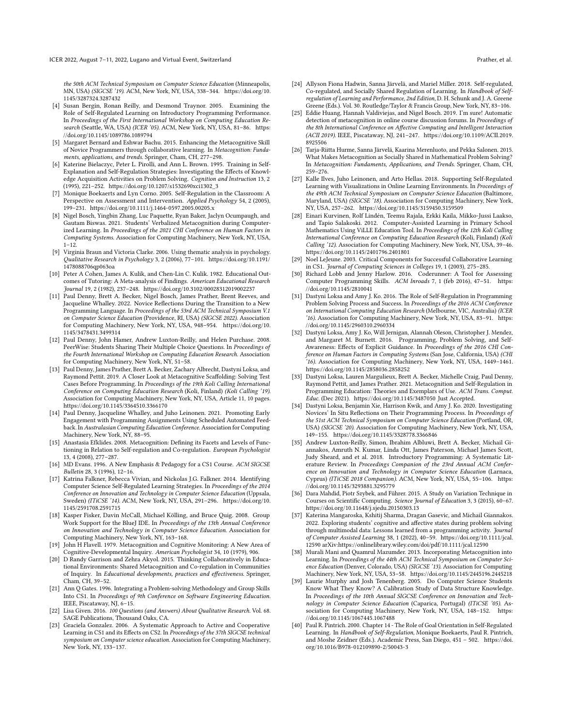the 50th ACM Technical Symposium on Computer Science Education (Minneapolis, MN, USA) (SIGCSE '19). ACM, New York, NY, USA, 338–344. [https://doi.org/10.](https://doi.org/10.1145/3287324.3287432) [1145/3287324.3287432](https://doi.org/10.1145/3287324.3287432)

- <span id="page-11-16"></span>[4] Susan Bergin, Ronan Reilly, and Desmond Traynor. 2005. Examining the Role of Self-Regulated Learning on Introductory Programming Performance. In Proceedings of the First International Workshop on Computing Education Research (Seattle, WA, USA) (ICER '05). ACM, New York, NY, USA, 81–86. [https:](https://doi.org/10.1145/1089786.1089794) [//doi.org/10.1145/1089786.1089794](https://doi.org/10.1145/1089786.1089794)
- <span id="page-11-26"></span>[5] Margaret Bernard and Eshwar Bachu. 2015. Enhancing the Metacognitive Skill of Novice Programmers through collaborative learning. In Metacognition: Fundaments, applications, and trends. Springer, Cham, CH, 277–298.
- <span id="page-11-10"></span>[6] Katerine Bielaczyc, Peter L. Pirolli, and Ann L. Brown. 1995. Training in Self-Explanation and Self-Regulation Strategies: Investigating the Effects of Knowledge Acquisition Activities on Problem Solving. Cognition and Instruction 13, 2 (1995), 221–252. [https://doi.org/10.1207/s1532690xci1302\\_3](https://doi.org/10.1207/s1532690xci1302_3)
- <span id="page-11-11"></span>[7] Monique Boekaerts and Lyn Corno. 2005. Self-Regulation in the Classroom: A Perspective on Assessment and Intervention. Applied Psychology 54, 2 (2005), 199–231.<https://doi.org/10.1111/j.1464-0597.2005.00205.x>
- <span id="page-11-33"></span>[8] Nigel Bosch, Yingbin Zhang, Luc Paquette, Ryan Baker, Jaclyn Ocumpaugh, and Gautam Biswas. 2021. Students' Verbalized Metacognition during Computerized Learning. In Proceedings of the 2021 CHI Conference on Human Factors in Computing Systems. Association for Computing Machinery, New York, NY, USA, 1–12.
- <span id="page-11-30"></span>[9] Virginia Braun and Victoria Clarke. 2006. Using thematic analysis in psychology. Qualitative Research in Psychology 3, 2 (2006), 77–101. [https://doi.org/10.1191/](https://doi.org/10.1191/1478088706qp063oa) [1478088706qp063oa](https://doi.org/10.1191/1478088706qp063oa)
- <span id="page-11-36"></span>[10] Peter A Cohen, James A. Kulik, and Chen-Lin C. Kulik. 1982. Educational Outcomes of Tutoring: A Meta-analysis of Findings. American Educational Research Journal 19, 2 (1982), 237–248.<https://doi.org/10.3102/00028312019002237>
- <span id="page-11-15"></span>[11] Paul Denny, Brett A. Becker, Nigel Bosch, James Prather, Brent Reeves, and Jacqueline Whalley. 2022. Novice Reflections During the Transition to a New Programming Language. In Proceedings of the 53rd ACM Technical Symposium V.1 on Computer Science Education (Providence, RI, USA) (SIGCSE 2022). Association for Computing Machinery, New York, NY, USA, 948–954. [https://doi.org/10.](https://doi.org/10.1145/3478431.3499314) [1145/3478431.3499314](https://doi.org/10.1145/3478431.3499314)
- <span id="page-11-22"></span>[12] Paul Denny, John Hamer, Andrew Luxton-Reilly, and Helen Purchase. 2008. PeerWise: Students Sharing Their Multiple Choice Questions. In Proceedings of the Fourth International Workshop on Computing Education Research. Association for Computing Machinery, New York, NY, 51–58.
- <span id="page-11-3"></span>[13] Paul Denny, James Prather, Brett A. Becker, Zachary Albrecht, Dastyni Loksa, and Raymond Pettit. 2019. A Closer Look at Metacognitive Scaffolding: Solving Test Cases Before Programming. In Proceedings of the 19th Koli Calling International Conference on Computing Education Research (Koli, Finland) (Koli Calling '19). Association for Computing Machinery, New York, NY, USA, Article 11, 10 pages. <https://doi.org/10.1145/3364510.3366170>
- <span id="page-11-4"></span>[14] Paul Denny, Jacqueline Whalley, and Juho Leinonen. 2021. Promoting Early Engagement with Programming Assignments Using Scheduled Automated Feedback. In Australasian Computing Education Conference. Association for Computing Machinery, New York, NY, 88–95.
- <span id="page-11-12"></span>[15] Anastasia Efklides. 2008. Metacognition: Defining its Facets and Levels of Functioning in Relation to Self-regulation and Co-regulation. European Psychologist 13, 4 (2008), 277–287.
- <span id="page-11-23"></span>[16] MD Evans. 1996. A New Emphasis & Pedagogy for a CS1 Course. ACM SIGCSE Bulletin 28, 3 (1996), 12–16.
- <span id="page-11-18"></span>[17] Katrina Falkner, Rebecca Vivian, and Nickolas J.G. Falkner. 2014. Identifying Computer Science Self-Regulated Learning Strategies. In Proceedings of the 2014 Conference on Innovation and Technology in Computer Science Education (Uppsala, Sweden) (ITiCSE '14). ACM, New York, NY, USA, 291–296. [https://doi.org/10.](https://doi.org/10.1145/2591708.2591715) [1145/2591708.2591715](https://doi.org/10.1145/2591708.2591715)
- <span id="page-11-24"></span>[18] Kasper Fisker, Davin McCall, Michael Kölling, and Bruce Quig. 2008. Group Work Support for the BlueJ IDE. In Proceedings of the 13th Annual Conference on Innovation and Technology in Computer Science Education. Association for Computing Machinery, New York, NY, 163–168.
- <span id="page-11-9"></span>[19] John H Flavell. 1979. Metacognition and Cognitive Monitoring: A New Area of Cognitive-Developmental Inquiry. American Psychologist 34, 10 (1979), 906.
- <span id="page-11-27"></span>[20] D Randy Garrison and Zehra Akyol. 2015. Thinking Collaboratively in Educational Environments: Shared Metacognition and Co-regulation in Communities of Inquiry. In Educational developments, practices and effectiveness. Springer, Cham, CH, 39–52.
- <span id="page-11-5"></span>[21] Ann Q Gates. 1996. Integrating a Problem-solving Methodology and Group Skills Into CS1. In Proceedings of 9th Conference on Software Engineering Education. IEEE, Piscataway, NJ, 6–15.
- <span id="page-11-31"></span>[22] Lisa Given. 2016. 100 Questions (and Answers) About Qualitative Research. Vol. 68. SAGE Publications, Thousand Oaks, CA.
- <span id="page-11-6"></span>[23] Graciela Gonzalez. 2006. A Systematic Approach to Active and Cooperative Learning in CS1 and its Effects on CS2. In Proceedings of the 37th SIGCSE technical symposium on Computer science education. Association for Computing Machinery, New York, NY, 133–137.
- <span id="page-11-8"></span>[24] Allyson Fiona Hadwin, Sanna Järvelä, and Mariel Miller. 2018. Self-regulated, Co-regulated, and Socially Shared Regulation of Learning. In Handbook of Selfregulation of Learning and Performance, 2nd Edition, D. H. Schunk and J. A. Greene Greene (Eds.). Vol. 30. Routledge/Taylor & Francis Group, New York, NY, 83–106.
- <span id="page-11-32"></span>[25] Eddie Huang, Hannah Valdiviejas, and Nigel Bosch. 2019. I'm sure! Automatic detection of metacognition in online course discussion forums. In Proceedings of the 8th International Conference on Affective Computing and Intelligent Interaction (ACII 2019). IEEE, Piscataway, NJ, 241–247. [https://doi.org/10.1109/ACII.2019.](https://doi.org/10.1109/ACII.2019.8925506) [8925506](https://doi.org/10.1109/ACII.2019.8925506)
- <span id="page-11-28"></span>[26] Tarja-Riitta Hurme, Sanna Järvelä, Kaarina Merenluoto, and Pekka Salonen. 2015. What Makes Metacognition as Socially Shared in Mathematical Problem Solving? In Metacognition: Fundaments, Applications, and Trends. Springer, Cham, CH, 259–276.
- <span id="page-11-19"></span>[27] Kalle Ilves, Juho Leinonen, and Arto Hellas. 2018. Supporting Self-Regulated Learning with Visualizations in Online Learning Environments. In Proceedings of the 49th ACM Technical Symposium on Computer Science Education (Baltimore, Maryland, USA) (SIGCSE '18). Association for Computing Machinery, New York, NY, USA, 257–262.<https://doi.org/10.1145/3159450.3159509>
- <span id="page-11-20"></span>[28] Einari Kurvinen, Rolf Lindén, Teemu Rajala, Erkki Kaila, Mikko-Jussi Laakso, and Tapio Salakoski. 2012. Computer-Assisted Learning in Primary School Mathematics Using ViLLE Education Tool. In Proceedings of the 12th Koli Calling International Conference on Computing Education Research (Koli, Finland) (Koli Calling '12). Association for Computing Machinery, New York, NY, USA, 39–46. <https://doi.org/10.1145/2401796.2401801>
- <span id="page-11-7"></span>[29] Noel LeJeune. 2003. Critical Components for Successful Collaborative Learning in CS1. Journal of Computing Sciences in Colleges 19, 1 (2003), 275–285.
- <span id="page-11-29"></span>[30] Richard Lobb and Jenny Harlow. 2016. Coderunner: A Tool for Assessing Computer Programming Skills. ACM Inroads 7, 1 (feb 2016), 47–51. [https:](https://doi.org/10.1145/2810041) [//doi.org/10.1145/2810041](https://doi.org/10.1145/2810041)
- <span id="page-11-1"></span>[31] Dastyni Loksa and Amy J. Ko. 2016. The Role of Self-Regulation in Programming Problem Solving Process and Success. In Proceedings of the 2016 ACM Conference on International Computing Education Research (Melbourne, VIC, Australia) (ICER '16). Association for Computing Machinery, New York, NY, USA, 83–91. [https:](https://doi.org/10.1145/2960310.2960334) [//doi.org/10.1145/2960310.2960334](https://doi.org/10.1145/2960310.2960334)
- <span id="page-11-2"></span>[32] Dastyni Loksa, Amy J. Ko, Will Jernigan, Alannah Oleson, Christopher J. Mendez, and Margaret M. Burnett. 2016. Programming, Problem Solving, and Self-Awareness: Effects of Explicit Guidance. In Proceedings of the 2016 CHI Conference on Human Factors in Computing Systems (San Jose, California, USA) (CHI '16). Association for Computing Machinery, New York, NY, USA, 1449–1461. <https://doi.org/10.1145/2858036.2858252>
- <span id="page-11-14"></span>[33] Dastyni Loksa, Lauren Margulieux, Brett A. Becker, Michelle Craig, Paul Denny, Raymond Pettit, and James Prather. 2021. Metacognition and Self-Regulation in Programming Education: Theories and Exemplars of Use. ACM Trans. Comput. Educ. (Dec 2021).<https://doi.org/10.1145/3487050> Just Accepted.
- <span id="page-11-34"></span>[34] Dastyni Loksa, Benjamin Xie, Harrison Kwik, and Amy J. Ko. 2020. Investigating Novices' In Situ Reflections on Their Programming Process. In Proceedings of the 51st ACM Technical Symposium on Computer Science Education (Portland, OR, USA) (SIGCSE '20). Association for Computing Machinery, New York, NY, USA, 149–155.<https://doi.org/10.1145/3328778.3366846>
- <span id="page-11-25"></span>[35] Andrew Luxton-Reilly, Simon, Ibrahim Albluwi, Brett A. Becker, Michail Giannakos, Amruth N. Kumar, Linda Ott, James Paterson, Michael James Scott, Judy Sheard, and et al. 2018. Introductory Programming: A Systematic Literature Review. In Proceedings Companion of the 23rd Annual ACM Conference on Innovation and Technology in Computer Science Education (Larnaca, Cyprus) (ITiCSE 2018 Companion). ACM, New York, NY, USA, 55–106. [https:](https://doi.org/10.1145/3293881.3295779) [//doi.org/10.1145/3293881.3295779](https://doi.org/10.1145/3293881.3295779)
- <span id="page-11-35"></span>[36] Dara Mahdid, Piotr Szybek, and Führer. 2015. A Study on Variation Technique in Courses on Scientific Computing. Science Journal of Education 3, 3 (2015), 60–67. <https://doi.org/10.11648/j.sjedu.20150303.13>
- <span id="page-11-0"></span>[37] Katerina Mangaroska, Kshitij Sharma, Dragan Gasevic, and Michail Giannakos. 2022. Exploring students' cognitive and affective states during problem solving through multimodal data: Lessons learned from a programming activity. Journal of Computer Assisted Learning 38, 1 (2022), 40–59. [https://doi.org/10.1111/jcal.](https://doi.org/10.1111/jcal.12590) [12590](https://doi.org/10.1111/jcal.12590) arXiv[:https://onlinelibrary.wiley.com/doi/pdf/10.1111/jcal.12590](https://arxiv.org/abs/https://onlinelibrary.wiley.com/doi/pdf/10.1111/jcal.12590)
- <span id="page-11-21"></span>[38] Murali Mani and Quamrul Mazumder. 2013. Incorporating Metacognition into Learning. In Proceedings of the 44th ACM Technical Symposium on Computer Science Education (Denver, Colorado, USA) (SIGCSE '13). Association for Computing Machinery, New York, NY, USA, 53–58.<https://doi.org/10.1145/2445196.2445218>
- <span id="page-11-17"></span>[39] Laurie Murphy and Josh Tenenberg. 2005. Do Computer Science Students Know What They Know? A Calibration Study of Data Structure Knowledge. In Proceedings of the 10th Annual SIGCSE Conference on Innovation and Technology in Computer Science Education (Caparica, Portugal) (ITiCSE '05). Association for Computing Machinery. New York, NY, USA, 148-152. https: sociation for Computing Machinery, New York, NY, USA, 148-152. [//doi.org/10.1145/1067445.1067488](https://doi.org/10.1145/1067445.1067488)
- <span id="page-11-13"></span>[40] Paul R. Pintrich. 2000. Chapter 14 - The Role of Goal Orientation in Self-Regulated Learning. In Handbook of Self-Regulation, Monique Boekaerts, Paul R. Pintrich, and Moshe Zeidner (Eds.). Academic Press, San Diego, 451 – 502. [https://doi.](https://doi.org/10.1016/B978-012109890-2/50043-3) [org/10.1016/B978-012109890-2/50043-3](https://doi.org/10.1016/B978-012109890-2/50043-3)